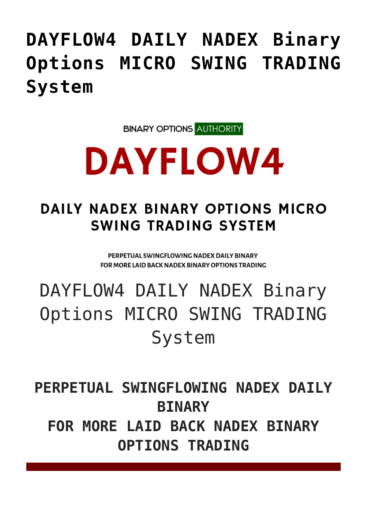## **[DAYFLOW4 DAILY NADEX Binary](https://binaryoptionsauthority.com/dayflow4-daily-nadex-binary-options-micro-swing-trading-system/) [Options MICRO SWING TRADING](https://binaryoptionsauthority.com/dayflow4-daily-nadex-binary-options-micro-swing-trading-system/) [System](https://binaryoptionsauthority.com/dayflow4-daily-nadex-binary-options-micro-swing-trading-system/)**

**BINARY OPTIONS AUTHORITY** 

# **DAYFLOW4**

### DAILY NADEX BINARY OPTIONS MICRO **SWING TRADING SYSTEM**

PERPETUAL SWINGFLOWING NADEX DAILY BINARY FOR MORE LAID BACK NADEX BINARY OPTIONS TRADING

# DAYFLOW4 DAILY NADEX Binary Options MICRO SWING TRADING System

**PERPETUAL SWINGFLOWING NADEX DAILY BINARY FOR MORE LAID BACK NADEX BINARY OPTIONS TRADING**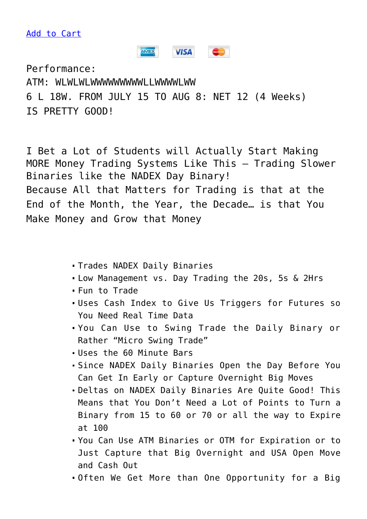[Add to Cart](https://systemsforlife.net/amember2/cart/index/product/id/618/c/)

### AMEX **VISA CONTRACT**

Performance: ATM: WLWLWLWWWWWWWWWLLWWWWLWW 6 L 18W. FROM JULY 15 TO AUG 8: NET 12 (4 Weeks) IS PRETTY GOOD!

I Bet a Lot of Students will Actually Start Making MORE Money Trading Systems Like This – Trading Slower Binaries like the NADEX Day Binary! Because All that Matters for Trading is that at the End of the Month, the Year, the Decade… is that You Make Money and Grow that Money

- Trades NADEX Daily Binaries
- Low Management vs. Day Trading the 20s, 5s & 2Hrs
- Fun to Trade
- Uses Cash Index to Give Us Triggers for Futures so You Need Real Time Data
- You Can Use to Swing Trade the Daily Binary or Rather "Micro Swing Trade"
- Uses the 60 Minute Bars
- Since NADEX Daily Binaries Open the Day Before You Can Get In Early or Capture Overnight Big Moves
- Deltas on NADEX Daily Binaries Are Quite Good! This Means that You Don't Need a Lot of Points to Turn a Binary from 15 to 60 or 70 or all the way to Expire at 100
- You Can Use ATM Binaries or OTM for Expiration or to Just Capture that Big Overnight and USA Open Move and Cash Out
- Often We Get More than One Opportunity for a Big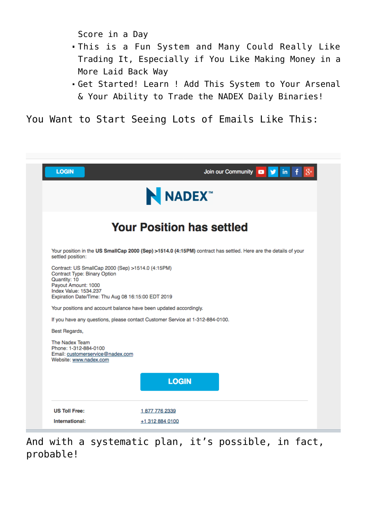Score in a Day

- This is a Fun System and Many Could Really Like Trading It, Especially if You Like Making Money in a More Laid Back Way
- Get Started! Learn ! Add This System to Your Arsenal & Your Ability to Trade the NADEX Daily Binaries!

You Want to Start Seeing Lots of Emails Like This:

| <b>LOGIN</b>                                                                                                                                                                                                   | Join our Community <b>D y</b> in                                              |
|----------------------------------------------------------------------------------------------------------------------------------------------------------------------------------------------------------------|-------------------------------------------------------------------------------|
| NADEX <sup>*</sup><br><b>Your Position has settled</b>                                                                                                                                                         |                                                                               |
|                                                                                                                                                                                                                |                                                                               |
| Contract: US SmallCap 2000 (Sep) >1514.0 (4:15PM)<br>Contract Type: Binary Option<br>Quantity: 10<br>Payout Amount: 1000<br><b>Index Value: 1534.237</b><br>Expiration Date/Time: Thu Aug 08 16:15:00 EDT 2019 |                                                                               |
|                                                                                                                                                                                                                | Your positions and account balance have been updated accordingly.             |
|                                                                                                                                                                                                                | If you have any questions, please contact Customer Service at 1-312-884-0100. |
| Best Regards,<br>The Nadex Team<br>Phone: 1-312-884-0100<br>Email: customerservice@nadex.com<br>Website: www.nadex.com                                                                                         |                                                                               |
|                                                                                                                                                                                                                | <b>LOGIN</b>                                                                  |
| <b>US Toll Free:</b>                                                                                                                                                                                           | 1877 776 2339                                                                 |
| International:                                                                                                                                                                                                 | +1 312 884 0100                                                               |

And with a systematic plan, it's possible, in fact, probable!